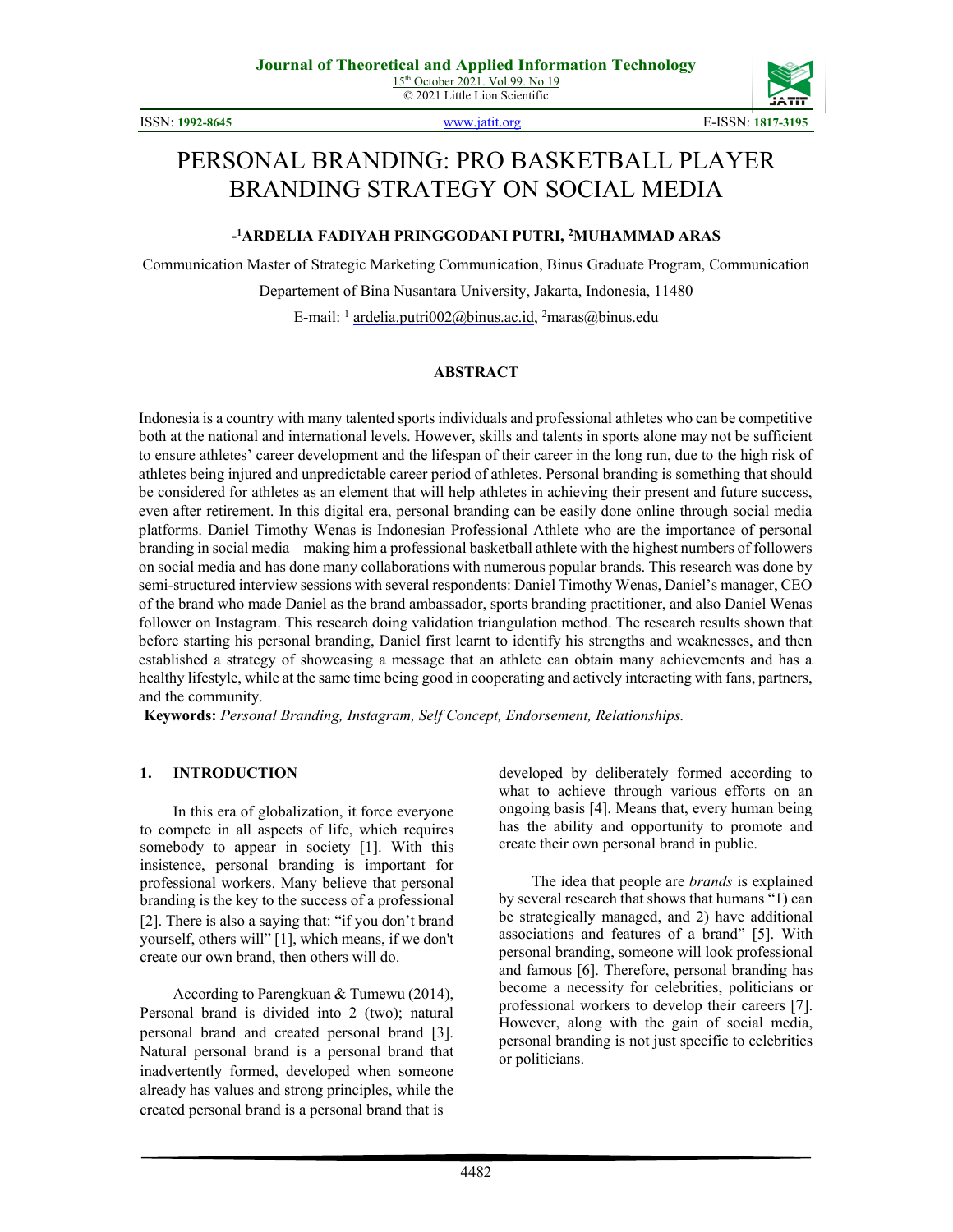© 2021 Little Lion Scientific



ISSN: **1992-8645** [www.jatit.org](http://www.jatit.org/) E-ISSN: **1817-3195**

# PERSONAL BRANDING: PRO BASKETBALL PLAYER BRANDING STRATEGY ON SOCIAL MEDIA

### **- 1 ARDELIA FADIYAH PRINGGODANI PUTRI, 2 MUHAMMAD ARAS**

Communication Master of Strategic Marketing Communication, Binus Graduate Program, Communication

Departement of Bina Nusantara University, Jakarta, Indonesia, 11480

E-mail: <sup>1</sup> ardelia.putri002@binus.ac.id, <sup>2</sup>maras@binus.edu

## **ABSTRACT**

Indonesia is a country with many talented sports individuals and professional athletes who can be competitive both at the national and international levels. However, skills and talents in sports alone may not be sufficient to ensure athletes' career development and the lifespan of their career in the long run, due to the high risk of athletes being injured and unpredictable career period of athletes. Personal branding is something that should be considered for athletes as an element that will help athletes in achieving their present and future success, even after retirement. In this digital era, personal branding can be easily done online through social media platforms. Daniel Timothy Wenas is Indonesian Professional Athlete who are the importance of personal branding in social media – making him a professional basketball athlete with the highest numbers of followers on social media and has done many collaborations with numerous popular brands. This research was done by semi-structured interview sessions with several respondents: Daniel Timothy Wenas, Daniel's manager, CEO of the brand who made Daniel as the brand ambassador, sports branding practitioner, and also Daniel Wenas follower on Instagram. This research doing validation triangulation method. The research results shown that before starting his personal branding, Daniel first learnt to identify his strengths and weaknesses, and then established a strategy of showcasing a message that an athlete can obtain many achievements and has a healthy lifestyle, while at the same time being good in cooperating and actively interacting with fans, partners, and the community.

**Keywords:** *Personal Branding, Instagram, Self Concept, Endorsement, Relationships.* 

## **1. INTRODUCTION**

In this era of globalization, it force everyone to compete in all aspects of life, which requires somebody to appear in society [1]. With this insistence, personal branding is important for professional workers. Many believe that personal branding is the key to the success of a professional [2]. There is also a saying that: "if you don't brand yourself, others will" [1], which means, if we don't create our own brand, then others will do.

According to Parengkuan & Tumewu (2014), Personal brand is divided into 2 (two); natural personal brand and created personal brand [3]. Natural personal brand is a personal brand that inadvertently formed, developed when someone already has values and strong principles, while the created personal brand is a personal brand that is

developed by deliberately formed according to what to achieve through various efforts on an ongoing basis [4]. Means that, every human being has the ability and opportunity to promote and create their own personal brand in public.

The idea that people are *brands* is explained by several research that shows that humans "1) can be strategically managed, and 2) have additional associations and features of a brand" [5]. With personal branding, someone will look professional and famous [6]. Therefore, personal branding has become a necessity for celebrities, politicians or professional workers to develop their careers [7]. However, along with the gain of social media, personal branding is not just specific to celebrities or politicians.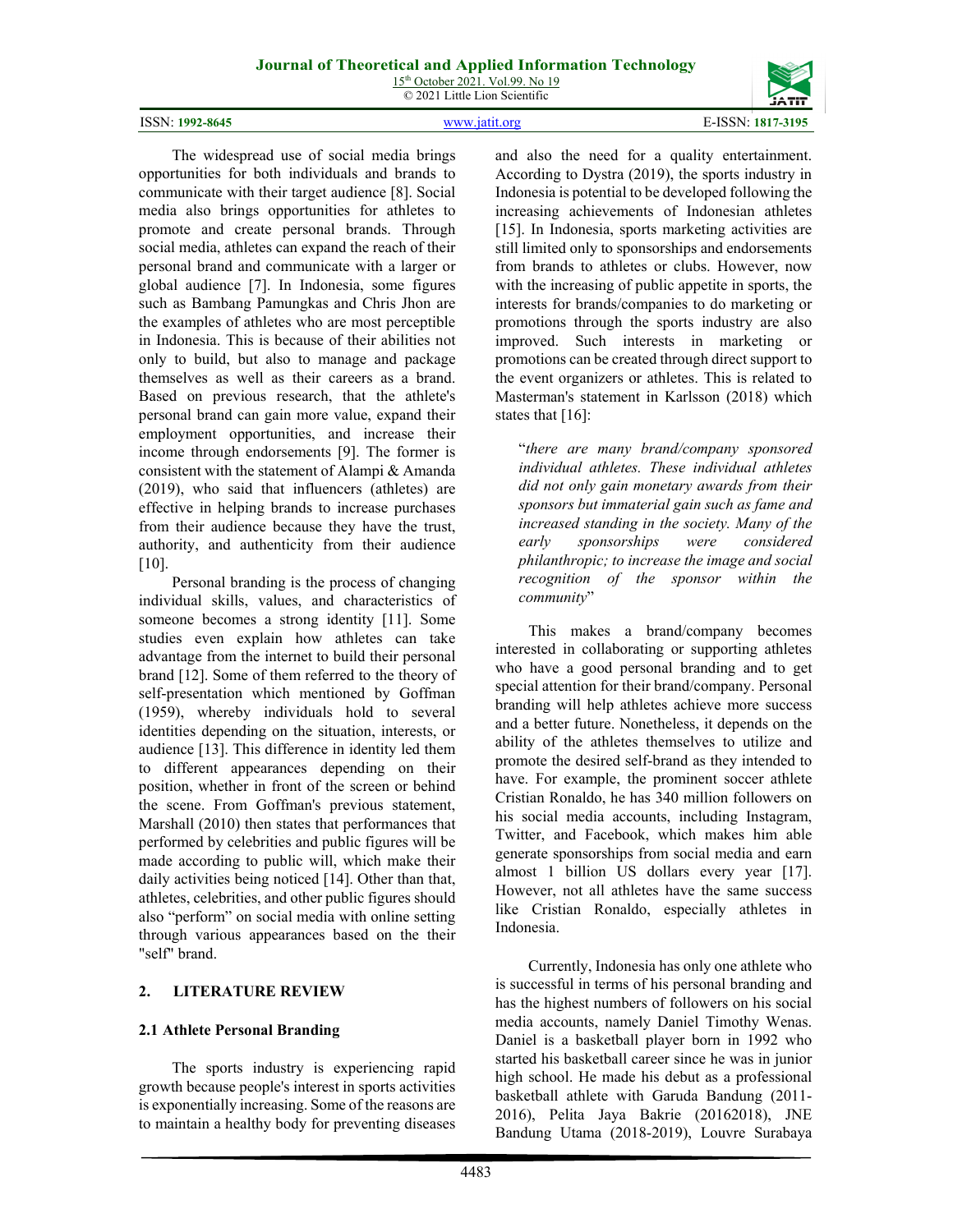15<sup>th</sup> October 2021. Vol.99. No 19 © 2021 Little Lion Scientific

4483

and also the need for a quality entertainment. According to Dystra (2019), the sports industry in Indonesia is potential to be developed following the increasing achievements of Indonesian athletes [15]. In Indonesia, sports marketing activities are still limited only to sponsorships and endorsements from brands to athletes or clubs. However, now with the increasing of public appetite in sports, the interests for brands/companies to do marketing or promotions through the sports industry are also improved. Such interests in marketing or promotions can be created through direct support to the event organizers or athletes. This is related to Masterman's statement in Karlsson (2018) which states that [16]:

"*there are many brand/company sponsored individual athletes. These individual athletes did not only gain monetary awards from their sponsors but immaterial gain such as fame and increased standing in the society. Many of the early sponsorships were considered philanthropic; to increase the image and social recognition of the sponsor within the community*"

This makes a brand/company becomes interested in collaborating or supporting athletes who have a good personal branding and to get special attention for their brand/company. Personal branding will help athletes achieve more success and a better future. Nonetheless, it depends on the ability of the athletes themselves to utilize and promote the desired self-brand as they intended to have. For example, the prominent soccer athlete Cristian Ronaldo, he has 340 million followers on his social media accounts, including Instagram, Twitter, and Facebook, which makes him able generate sponsorships from social media and earn almost 1 billion US dollars every year [17]. However, not all athletes have the same success like Cristian Ronaldo, especially athletes in Indonesia.

Currently, Indonesia has only one athlete who is successful in terms of his personal branding and has the highest numbers of followers on his social media accounts, namely Daniel Timothy Wenas. Daniel is a basketball player born in 1992 who started his basketball career since he was in junior high school. He made his debut as a professional basketball athlete with Garuda Bandung (2011- 2016), Pelita Jaya Bakrie (20162018), JNE Bandung Utama (2018-2019), Louvre Surabaya

communicate with their target audience [8]. Social media also brings opportunities for athletes to promote and create personal brands. Through social media, athletes can expand the reach of their personal brand and communicate with a larger or global audience [7]. In Indonesia, some figures such as Bambang Pamungkas and Chris Jhon are the examples of athletes who are most perceptible in Indonesia. This is because of their abilities not only to build, but also to manage and package themselves as well as their careers as a brand. Based on previous research, that the athlete's personal brand can gain more value, expand their employment opportunities, and increase their income through endorsements [9]. The former is consistent with the statement of Alampi & Amanda (2019), who said that influencers (athletes) are effective in helping brands to increase purchases from their audience because they have the trust, authority, and authenticity from their audience [10].

The widespread use of social media brings opportunities for both individuals and brands to

Personal branding is the process of changing individual skills, values, and characteristics of someone becomes a strong identity [11]. Some studies even explain how athletes can take advantage from the internet to build their personal brand [12]. Some of them referred to the theory of self-presentation which mentioned by Goffman (1959), whereby individuals hold to several identities depending on the situation, interests, or audience [13]. This difference in identity led them to different appearances depending on their position, whether in front of the screen or behind the scene. From Goffman's previous statement, Marshall (2010) then states that performances that performed by celebrities and public figures will be made according to public will, which make their daily activities being noticed [14]. Other than that, athletes, celebrities, and other public figures should also "perform" on social media with online setting through various appearances based on the their "self" brand.

## **2. LITERATURE REVIEW**

#### **2.1 Athlete Personal Branding**

The sports industry is experiencing rapid growth because people's interest in sports activities is exponentially increasing. Some of the reasons are to maintain a healthy body for preventing diseases

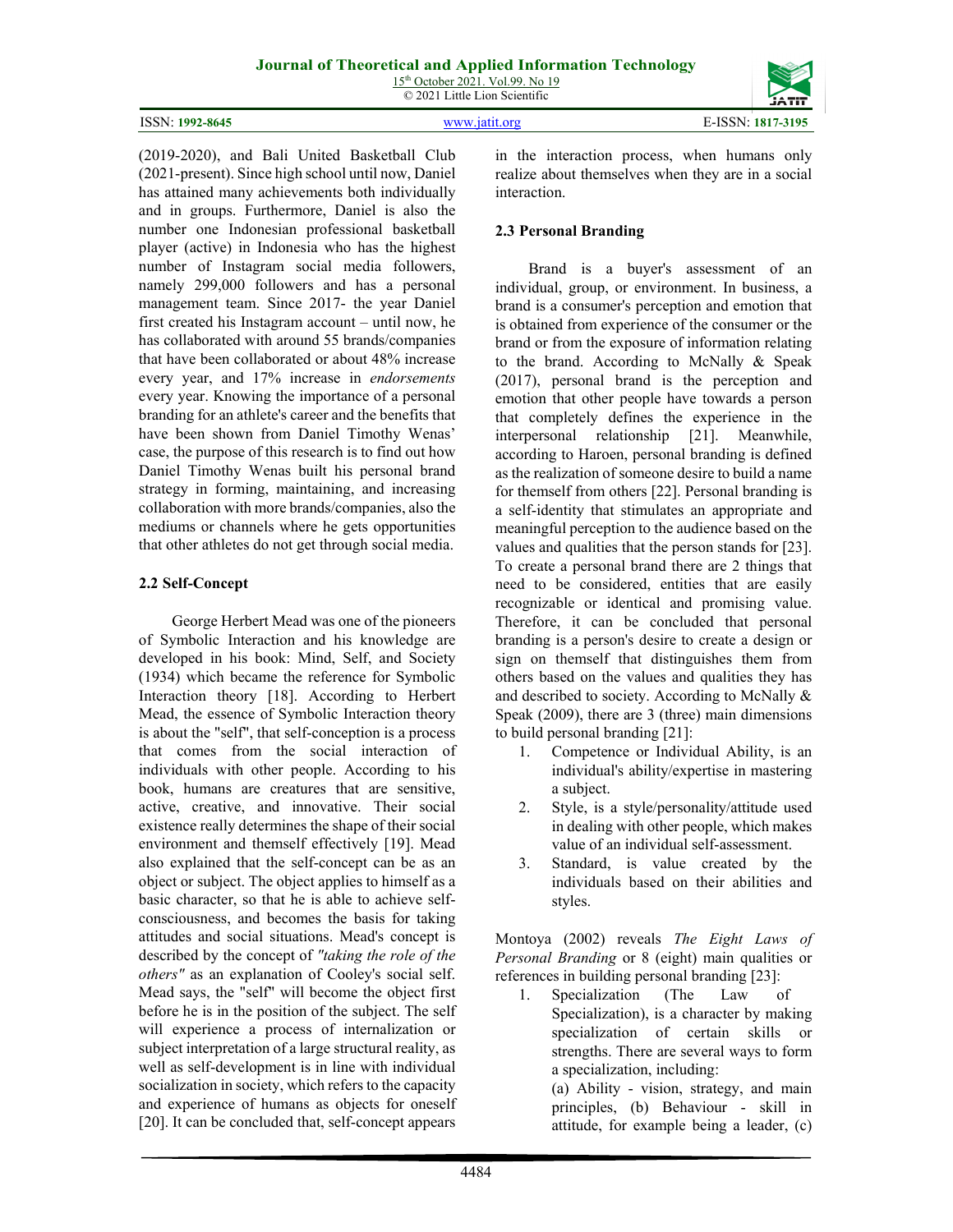| 15 <sup>th</sup> October 2021. Vol.99. No 19 |  |
|----------------------------------------------|--|
| © 2021 Little Lion Scientific                |  |

| ISSN: 1992-8645 | www.jatit.org | E-ISSN: 1817-3195 |
|-----------------|---------------|-------------------|

(2019-2020), and Bali United Basketball Club (2021-present). Since high school until now, Daniel has attained many achievements both individually and in groups. Furthermore, Daniel is also the number one Indonesian professional basketball player (active) in Indonesia who has the highest number of Instagram social media followers, namely 299,000 followers and has a personal management team. Since 2017- the year Daniel first created his Instagram account – until now, he has collaborated with around 55 brands/companies that have been collaborated or about 48% increase every year, and 17% increase in *endorsements*  every year. Knowing the importance of a personal branding for an athlete's career and the benefits that have been shown from Daniel Timothy Wenas' case, the purpose of this research is to find out how Daniel Timothy Wenas built his personal brand strategy in forming, maintaining, and increasing collaboration with more brands/companies, also the mediums or channels where he gets opportunities that other athletes do not get through social media.

## **2.2 Self-Concept**

George Herbert Mead was one of the pioneers of Symbolic Interaction and his knowledge are developed in his book: Mind, Self, and Society (1934) which became the reference for Symbolic Interaction theory [18]. According to Herbert Mead, the essence of Symbolic Interaction theory is about the "self", that self-conception is a process that comes from the social interaction of individuals with other people. According to his book, humans are creatures that are sensitive, active, creative, and innovative. Their social existence really determines the shape of their social environment and themself effectively [19]. Mead also explained that the self-concept can be as an object or subject. The object applies to himself as a basic character, so that he is able to achieve selfconsciousness, and becomes the basis for taking attitudes and social situations. Mead's concept is described by the concept of *"taking the role of the others"* as an explanation of Cooley's social self. Mead says, the "self" will become the object first before he is in the position of the subject. The self will experience a process of internalization or subject interpretation of a large structural reality, as well as self-development is in line with individual socialization in society, which refers to the capacity and experience of humans as objects for oneself [20]. It can be concluded that, self-concept appears in the interaction process, when humans only realize about themselves when they are in a social interaction.

## **2.3 Personal Branding**

Brand is a buyer's assessment of an individual, group, or environment. In business, a brand is a consumer's perception and emotion that is obtained from experience of the consumer or the brand or from the exposure of information relating to the brand. According to McNally & Speak (2017), personal brand is the perception and emotion that other people have towards a person that completely defines the experience in the interpersonal relationship [21]. Meanwhile, according to Haroen, personal branding is defined as the realization of someone desire to build a name for themself from others [22]. Personal branding is a self-identity that stimulates an appropriate and meaningful perception to the audience based on the values and qualities that the person stands for [23]. To create a personal brand there are 2 things that need to be considered, entities that are easily recognizable or identical and promising value. Therefore, it can be concluded that personal branding is a person's desire to create a design or sign on themself that distinguishes them from others based on the values and qualities they has and described to society. According to McNally & Speak (2009), there are 3 (three) main dimensions to build personal branding [21]:

- 1. Competence or Individual Ability, is an individual's ability/expertise in mastering a subject.
- 2. Style, is a style/personality/attitude used in dealing with other people, which makes value of an individual self-assessment.
- 3. Standard, is value created by the individuals based on their abilities and styles.

Montoya (2002) reveals *The Eight Laws of Personal Branding* or 8 (eight) main qualities or references in building personal branding [23]:

1. Specialization (The Law of Specialization), is a character by making specialization of certain skills or strengths. There are several ways to form a specialization, including:

(a) Ability - vision, strategy, and main principles, (b) Behaviour - skill in attitude, for example being a leader, (c)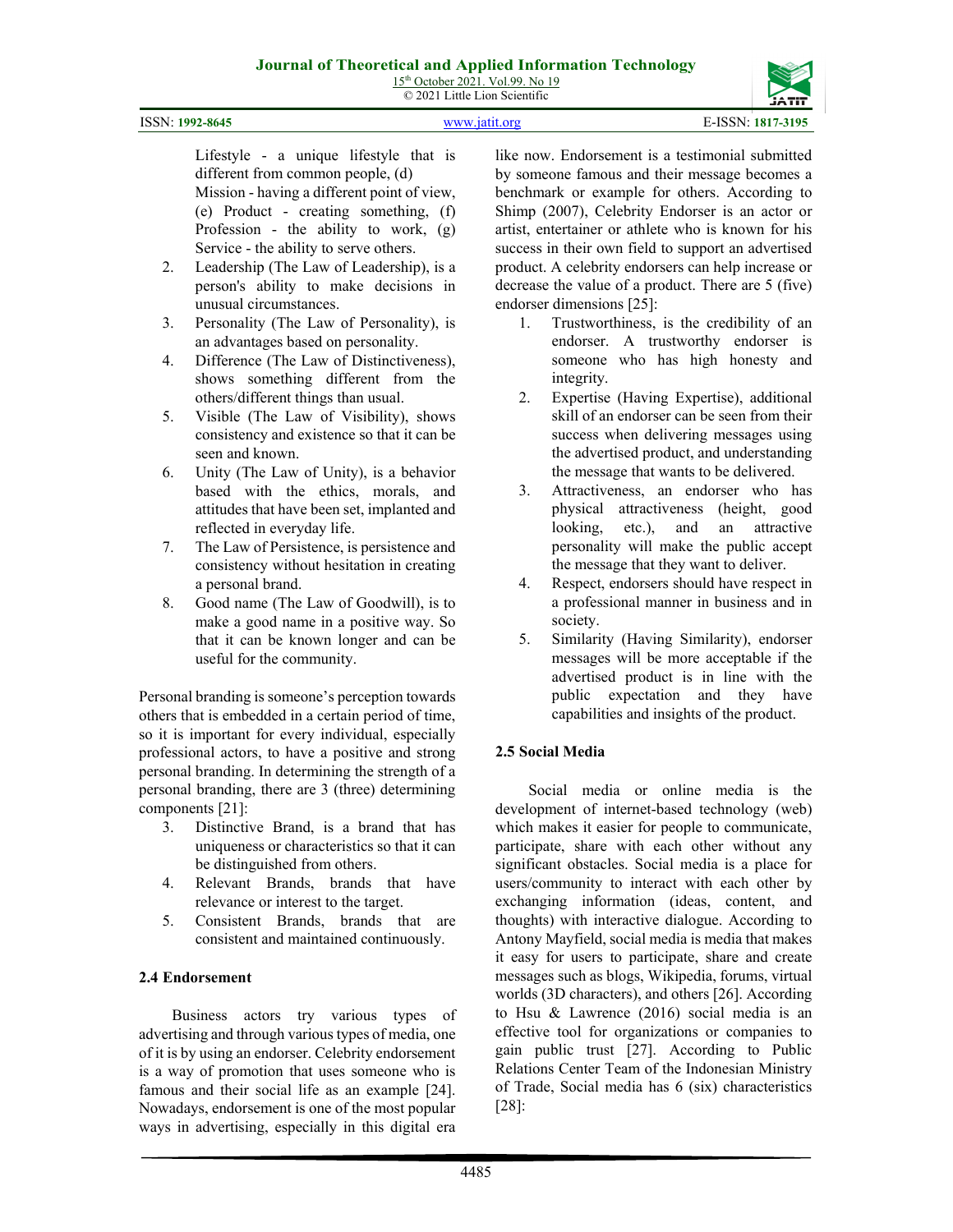15<sup>th</sup> October 2021. Vol.99. No 19 © 2021 Little Lion Scientific



Lifestyle - a unique lifestyle that is different from common people, (d) Mission - having a different point of view, (e) Product - creating something, (f) Profession - the ability to work, (g) Service - the ability to serve others.

- 2. Leadership (The Law of Leadership), is a person's ability to make decisions in unusual circumstances.
- 3. Personality (The Law of Personality), is an advantages based on personality.
- 4. Difference (The Law of Distinctiveness), shows something different from the others/different things than usual.
- 5. Visible (The Law of Visibility), shows consistency and existence so that it can be seen and known.
- 6. Unity (The Law of Unity), is a behavior based with the ethics, morals, and attitudes that have been set, implanted and reflected in everyday life.
- 7. The Law of Persistence, is persistence and consistency without hesitation in creating a personal brand.
- 8. Good name (The Law of Goodwill), is to make a good name in a positive way. So that it can be known longer and can be useful for the community.

Personal branding is someone's perception towards others that is embedded in a certain period of time, so it is important for every individual, especially professional actors, to have a positive and strong personal branding. In determining the strength of a personal branding, there are 3 (three) determining components [21]:

- 3. Distinctive Brand, is a brand that has uniqueness or characteristics so that it can be distinguished from others.
- 4. Relevant Brands, brands that have relevance or interest to the target.
- 5. Consistent Brands, brands that are consistent and maintained continuously.

## **2.4 Endorsement**

Business actors try various types of advertising and through various types of media, one of it is by using an endorser. Celebrity endorsement is a way of promotion that uses someone who is famous and their social life as an example [24]. Nowadays, endorsement is one of the most popular ways in advertising, especially in this digital era

like now. Endorsement is a testimonial submitted by someone famous and their message becomes a benchmark or example for others. According to Shimp (2007), Celebrity Endorser is an actor or artist, entertainer or athlete who is known for his success in their own field to support an advertised product. A celebrity endorsers can help increase or decrease the value of a product. There are 5 (five) endorser dimensions [25]:

- 1. Trustworthiness, is the credibility of an endorser. A trustworthy endorser is someone who has high honesty and integrity.
- 2. Expertise (Having Expertise), additional skill of an endorser can be seen from their success when delivering messages using the advertised product, and understanding the message that wants to be delivered.
- 3. Attractiveness, an endorser who has physical attractiveness (height, good looking, etc.), and an attractive personality will make the public accept the message that they want to deliver.
- 4. Respect, endorsers should have respect in a professional manner in business and in society.
- 5. Similarity (Having Similarity), endorser messages will be more acceptable if the advertised product is in line with the public expectation and they have capabilities and insights of the product.

## **2.5 Social Media**

Social media or online media is the development of internet-based technology (web) which makes it easier for people to communicate, participate, share with each other without any significant obstacles. Social media is a place for users/community to interact with each other by exchanging information (ideas, content, and thoughts) with interactive dialogue. According to Antony Mayfield, social media is media that makes it easy for users to participate, share and create messages such as blogs, Wikipedia, forums, virtual worlds (3D characters), and others [26]. According to Hsu & Lawrence (2016) social media is an effective tool for organizations or companies to gain public trust [27]. According to Public Relations Center Team of the Indonesian Ministry of Trade, Social media has 6 (six) characteristics [28]: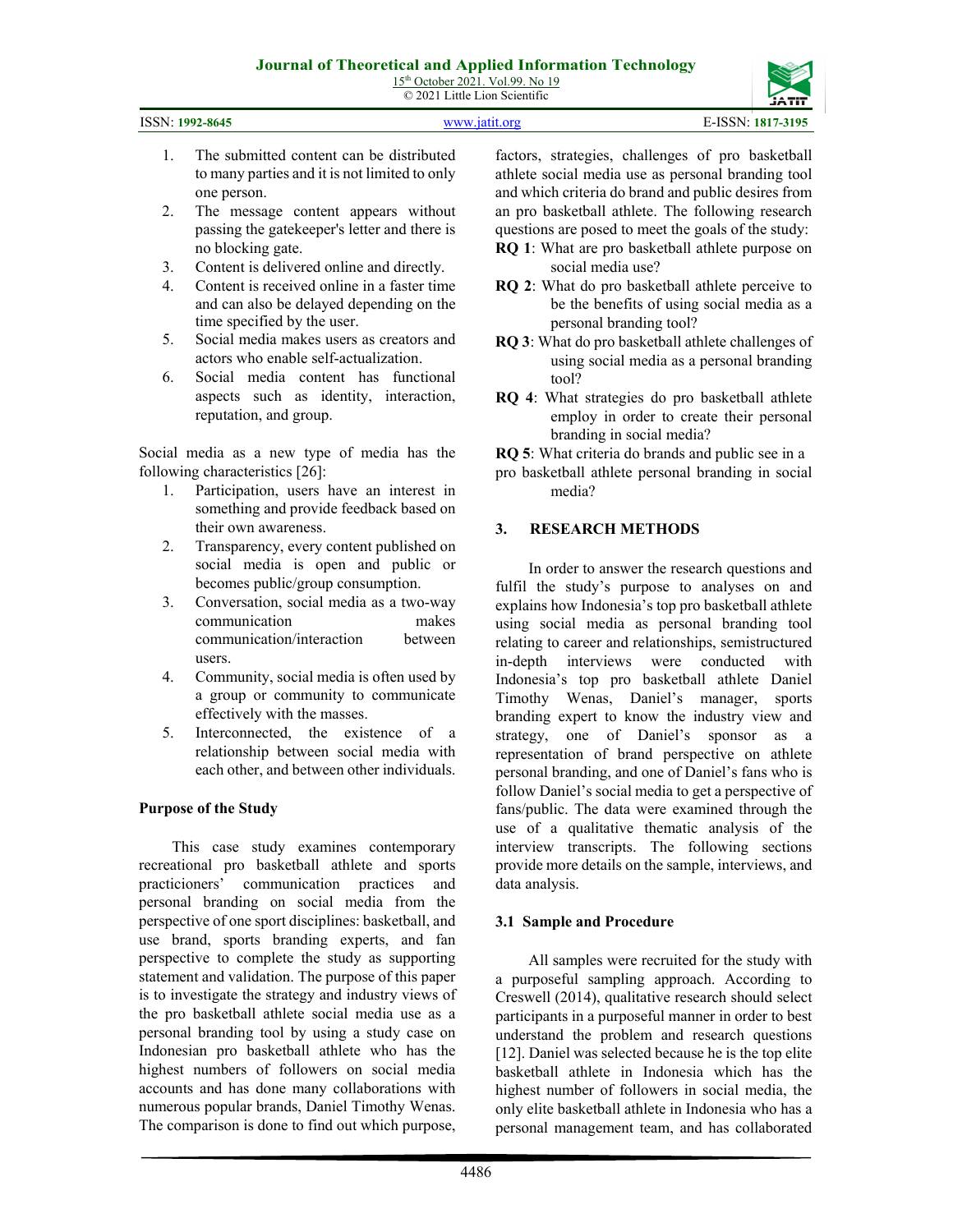15<sup>th</sup> October 2021. Vol.99. No 19 © 2021 Little Lion Scientific

| <b>ATIT</b><br>۳ |
|------------------|
|                  |

| ISSN: 1992-8645 | www.jatit.org | E-ISSN: 1817-3195 |
|-----------------|---------------|-------------------|
|                 |               |                   |

- 1. The submitted content can be distributed to many parties and it is not limited to only one person.
- 2. The message content appears without passing the gatekeeper's letter and there is no blocking gate.
- 3. Content is delivered online and directly.
- 4. Content is received online in a faster time and can also be delayed depending on the time specified by the user.
- 5. Social media makes users as creators and actors who enable self-actualization.
- 6. Social media content has functional aspects such as identity, interaction, reputation, and group.

Social media as a new type of media has the following characteristics [26]:

- 1. Participation, users have an interest in something and provide feedback based on their own awareness.
- 2. Transparency, every content published on social media is open and public or becomes public/group consumption.
- 3. Conversation, social media as a two-way communication makes communication/interaction between users.
- 4. Community, social media is often used by a group or community to communicate effectively with the masses.
- 5. Interconnected, the existence of a relationship between social media with each other, and between other individuals.

#### **Purpose of the Study**

This case study examines contemporary recreational pro basketball athlete and sports practicioners' communication practices and personal branding on social media from the perspective of one sport disciplines: basketball, and use brand, sports branding experts, and fan perspective to complete the study as supporting statement and validation. The purpose of this paper is to investigate the strategy and industry views of the pro basketball athlete social media use as a personal branding tool by using a study case on Indonesian pro basketball athlete who has the highest numbers of followers on social media accounts and has done many collaborations with numerous popular brands, Daniel Timothy Wenas. The comparison is done to find out which purpose,

factors, strategies, challenges of pro basketball athlete social media use as personal branding tool and which criteria do brand and public desires from an pro basketball athlete. The following research questions are posed to meet the goals of the study:

- **RQ 1**: What are pro basketball athlete purpose on social media use?
- **RQ 2**: What do pro basketball athlete perceive to be the benefits of using social media as a personal branding tool?
- **RQ 3**: What do pro basketball athlete challenges of using social media as a personal branding tool?
- **RQ 4**: What strategies do pro basketball athlete employ in order to create their personal branding in social media?
- **RQ 5**: What criteria do brands and public see in a
- pro basketball athlete personal branding in social media?

## **3. RESEARCH METHODS**

In order to answer the research questions and fulfil the study's purpose to analyses on and explains how Indonesia's top pro basketball athlete using social media as personal branding tool relating to career and relationships, semistructured in-depth interviews were conducted with Indonesia's top pro basketball athlete Daniel Timothy Wenas, Daniel's manager, sports branding expert to know the industry view and strategy, one of Daniel's sponsor as a representation of brand perspective on athlete personal branding, and one of Daniel's fans who is follow Daniel's social media to get a perspective of fans/public. The data were examined through the use of a qualitative thematic analysis of the interview transcripts. The following sections provide more details on the sample, interviews, and data analysis.

## **3.1 Sample and Procedure**

All samples were recruited for the study with a purposeful sampling approach. According to Creswell (2014), qualitative research should select participants in a purposeful manner in order to best understand the problem and research questions [12]. Daniel was selected because he is the top elite basketball athlete in Indonesia which has the highest number of followers in social media, the only elite basketball athlete in Indonesia who has a personal management team, and has collaborated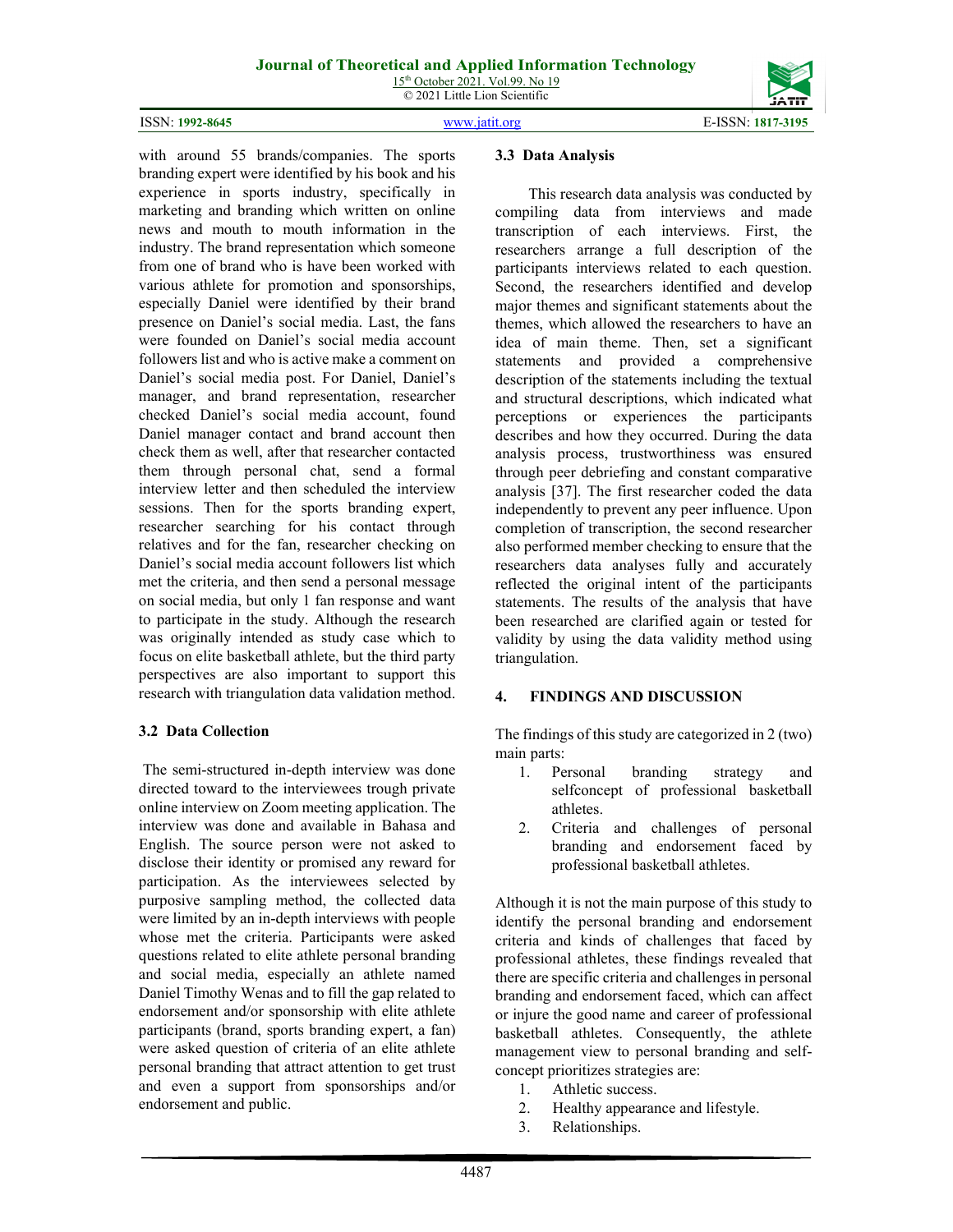



with around 55 brands/companies. The sports branding expert were identified by his book and his experience in sports industry, specifically in marketing and branding which written on online news and mouth to mouth information in the industry. The brand representation which someone from one of brand who is have been worked with various athlete for promotion and sponsorships, especially Daniel were identified by their brand presence on Daniel's social media. Last, the fans were founded on Daniel's social media account followers list and who is active make a comment on Daniel's social media post. For Daniel, Daniel's manager, and brand representation, researcher checked Daniel's social media account, found Daniel manager contact and brand account then check them as well, after that researcher contacted them through personal chat, send a formal interview letter and then scheduled the interview sessions. Then for the sports branding expert, researcher searching for his contact through relatives and for the fan, researcher checking on Daniel's social media account followers list which met the criteria, and then send a personal message on social media, but only 1 fan response and want to participate in the study. Although the research was originally intended as study case which to focus on elite basketball athlete, but the third party perspectives are also important to support this research with triangulation data validation method.

## **3.2 Data Collection**

The semi-structured in-depth interview was done directed toward to the interviewees trough private online interview on Zoom meeting application. The interview was done and available in Bahasa and English. The source person were not asked to disclose their identity or promised any reward for participation. As the interviewees selected by purposive sampling method, the collected data were limited by an in-depth interviews with people whose met the criteria. Participants were asked questions related to elite athlete personal branding and social media, especially an athlete named Daniel Timothy Wenas and to fill the gap related to endorsement and/or sponsorship with elite athlete participants (brand, sports branding expert, a fan) were asked question of criteria of an elite athlete personal branding that attract attention to get trust and even a support from sponsorships and/or endorsement and public.

#### **3.3 Data Analysis**

This research data analysis was conducted by compiling data from interviews and made transcription of each interviews. First, the researchers arrange a full description of the participants interviews related to each question. Second, the researchers identified and develop major themes and significant statements about the themes, which allowed the researchers to have an idea of main theme. Then, set a significant statements and provided a comprehensive description of the statements including the textual and structural descriptions, which indicated what perceptions or experiences the participants describes and how they occurred. During the data analysis process, trustworthiness was ensured through peer debriefing and constant comparative analysis [37]. The first researcher coded the data independently to prevent any peer influence. Upon completion of transcription, the second researcher also performed member checking to ensure that the researchers data analyses fully and accurately reflected the original intent of the participants statements. The results of the analysis that have been researched are clarified again or tested for validity by using the data validity method using triangulation.

#### **4. FINDINGS AND DISCUSSION**

The findings of this study are categorized in 2 (two) main parts:

- 1. Personal branding strategy and selfconcept of professional basketball athletes.
- 2. Criteria and challenges of personal branding and endorsement faced by professional basketball athletes.

Although it is not the main purpose of this study to identify the personal branding and endorsement criteria and kinds of challenges that faced by professional athletes, these findings revealed that there are specific criteria and challenges in personal branding and endorsement faced, which can affect or injure the good name and career of professional basketball athletes. Consequently, the athlete management view to personal branding and selfconcept prioritizes strategies are:

- 1. Athletic success.
- 2. Healthy appearance and lifestyle.
- 3. Relationships.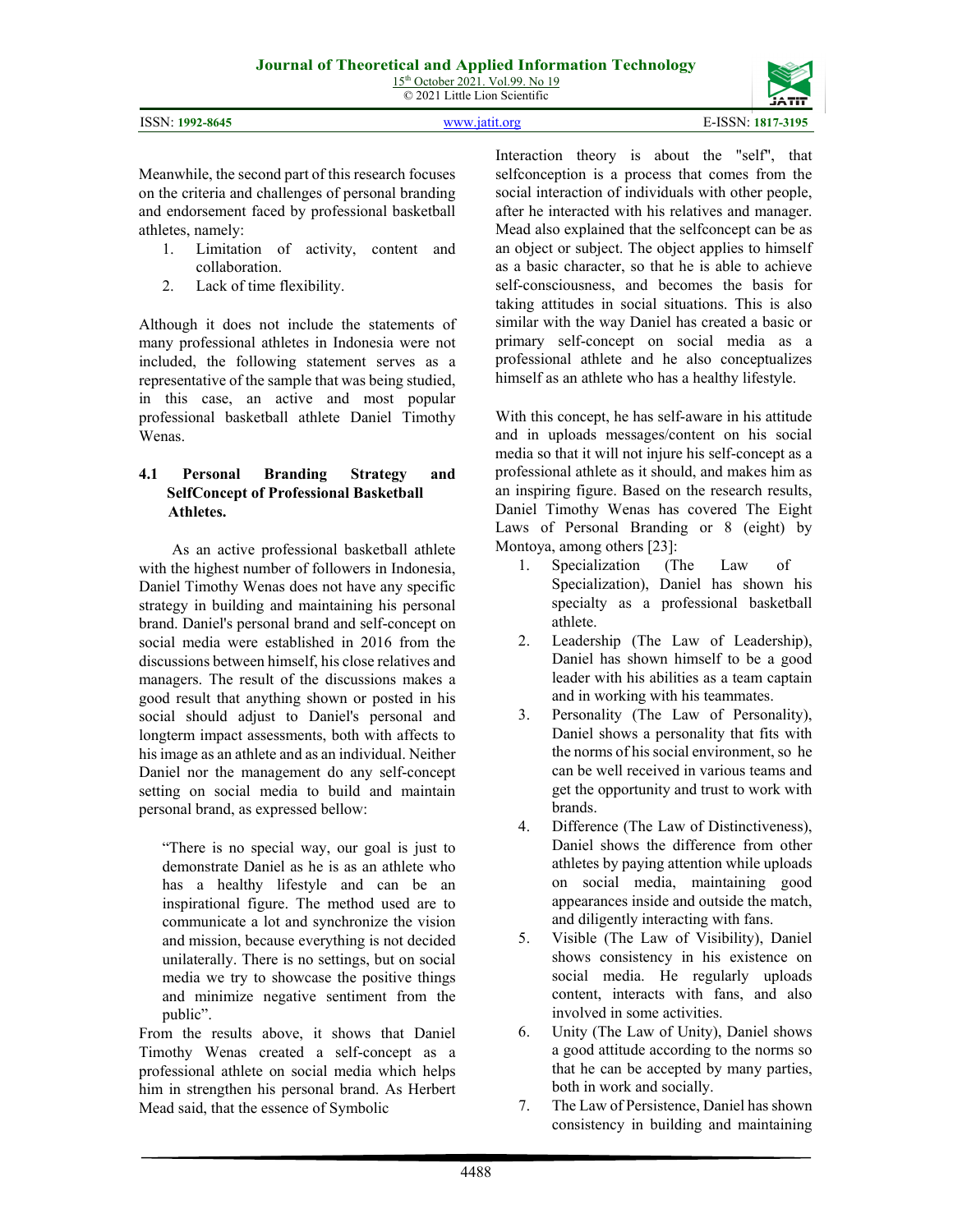© 2021 Little Lion Scientific

|  | <b>ISSN: 1992-8645</b> |
|--|------------------------|
|--|------------------------|

ISSN: **1992-8645** [www.jatit.org](http://www.jatit.org/) E-ISSN: **1817-3195**

Meanwhile, the second part of this research focuses on the criteria and challenges of personal branding and endorsement faced by professional basketball athletes, namely:

- 1. Limitation of activity, content and collaboration.
- 2. Lack of time flexibility.

Although it does not include the statements of many professional athletes in Indonesia were not included, the following statement serves as a representative of the sample that was being studied, in this case, an active and most popular professional basketball athlete Daniel Timothy Wenas.

#### **4.1 Personal Branding Strategy and SelfConcept of Professional Basketball Athletes.**

As an active professional basketball athlete with the highest number of followers in Indonesia, Daniel Timothy Wenas does not have any specific strategy in building and maintaining his personal brand. Daniel's personal brand and self-concept on social media were established in 2016 from the discussions between himself, his close relatives and managers. The result of the discussions makes a good result that anything shown or posted in his social should adjust to Daniel's personal and longterm impact assessments, both with affects to his image as an athlete and as an individual. Neither Daniel nor the management do any self-concept setting on social media to build and maintain personal brand, as expressed bellow:

"There is no special way, our goal is just to demonstrate Daniel as he is as an athlete who has a healthy lifestyle and can be an inspirational figure. The method used are to communicate a lot and synchronize the vision and mission, because everything is not decided unilaterally. There is no settings, but on social media we try to showcase the positive things and minimize negative sentiment from the public".

From the results above, it shows that Daniel Timothy Wenas created a self-concept as a professional athlete on social media which helps him in strengthen his personal brand. As Herbert Mead said, that the essence of Symbolic

Interaction theory is about the "self", that selfconception is a process that comes from the social interaction of individuals with other people, after he interacted with his relatives and manager. Mead also explained that the selfconcept can be as an object or subject. The object applies to himself as a basic character, so that he is able to achieve self-consciousness, and becomes the basis for taking attitudes in social situations. This is also similar with the way Daniel has created a basic or primary self-concept on social media as a professional athlete and he also conceptualizes himself as an athlete who has a healthy lifestyle.

With this concept, he has self-aware in his attitude and in uploads messages/content on his social media so that it will not injure his self-concept as a professional athlete as it should, and makes him as an inspiring figure. Based on the research results, Daniel Timothy Wenas has covered The Eight Laws of Personal Branding or 8 (eight) by Montoya, among others [23]:

- 1. Specialization (The Law of Specialization), Daniel has shown his specialty as a professional basketball athlete.
- 2. Leadership (The Law of Leadership), Daniel has shown himself to be a good leader with his abilities as a team captain and in working with his teammates.
- 3. Personality (The Law of Personality), Daniel shows a personality that fits with the norms of his social environment, so he can be well received in various teams and get the opportunity and trust to work with brands.
- 4. Difference (The Law of Distinctiveness), Daniel shows the difference from other athletes by paying attention while uploads on social media, maintaining good appearances inside and outside the match, and diligently interacting with fans.
- 5. Visible (The Law of Visibility), Daniel shows consistency in his existence on social media. He regularly uploads content, interacts with fans, and also involved in some activities.
- 6. Unity (The Law of Unity), Daniel shows a good attitude according to the norms so that he can be accepted by many parties, both in work and socially.
- 7. The Law of Persistence, Daniel has shown consistency in building and maintaining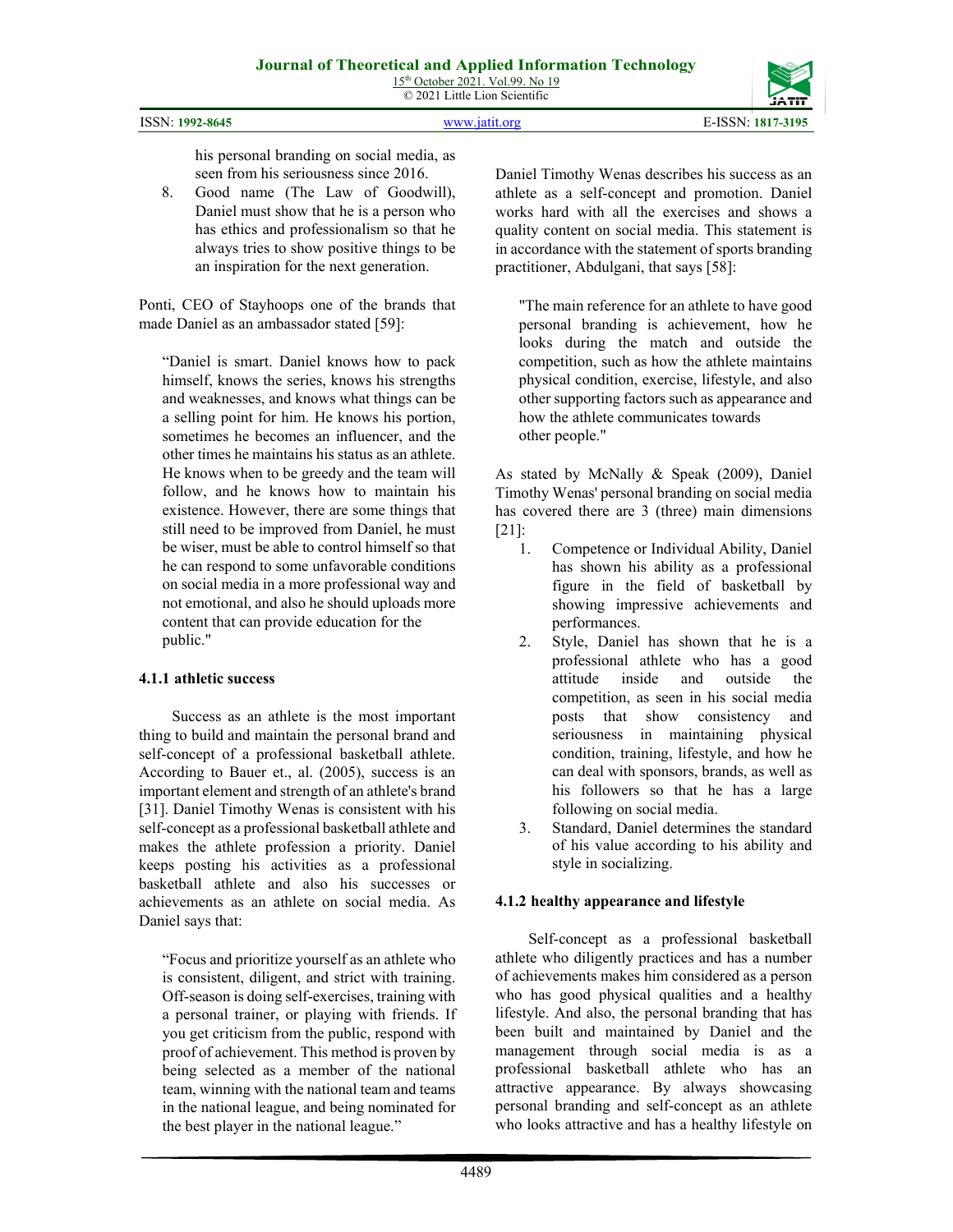|                    |               | <b>JAII</b>                    |
|--------------------|---------------|--------------------------------|
| ISSN:<br>1992-8645 | www istit org | $E$ -ISSN $\cdot$<br>1817-3195 |

his personal branding on social media, as seen from his seriousness since 2016.

8. Good name (The Law of Goodwill), Daniel must show that he is a person who has ethics and professionalism so that he always tries to show positive things to be an inspiration for the next generation.

Ponti, CEO of Stayhoops one of the brands that made Daniel as an ambassador stated [59]:

"Daniel is smart. Daniel knows how to pack himself, knows the series, knows his strengths and weaknesses, and knows what things can be a selling point for him. He knows his portion, sometimes he becomes an influencer, and the other times he maintains his status as an athlete. He knows when to be greedy and the team will follow, and he knows how to maintain his existence. However, there are some things that still need to be improved from Daniel, he must be wiser, must be able to control himself so that he can respond to some unfavorable conditions on social media in a more professional way and not emotional, and also he should uploads more content that can provide education for the public."

## **4.1.1 athletic success**

Success as an athlete is the most important thing to build and maintain the personal brand and self-concept of a professional basketball athlete. According to Bauer et., al. (2005), success is an important element and strength of an athlete's brand [31]. Daniel Timothy Wenas is consistent with his self-concept as a professional basketball athlete and makes the athlete profession a priority. Daniel keeps posting his activities as a professional basketball athlete and also his successes or achievements as an athlete on social media. As Daniel says that:

"Focus and prioritize yourself as an athlete who is consistent, diligent, and strict with training. Off-season is doing self-exercises, training with a personal trainer, or playing with friends. If you get criticism from the public, respond with proof of achievement. This method is proven by being selected as a member of the national team, winning with the national team and teams in the national league, and being nominated for the best player in the national league."

Daniel Timothy Wenas describes his success as an athlete as a self-concept and promotion. Daniel works hard with all the exercises and shows a quality content on social media. This statement is in accordance with the statement of sports branding practitioner, Abdulgani, that says [58]:

"The main reference for an athlete to have good personal branding is achievement, how he looks during the match and outside the competition, such as how the athlete maintains physical condition, exercise, lifestyle, and also other supporting factors such as appearance and how the athlete communicates towards other people."

As stated by McNally & Speak (2009), Daniel Timothy Wenas' personal branding on social media has covered there are 3 (three) main dimensions [21]:

- 1. Competence or Individual Ability, Daniel has shown his ability as a professional figure in the field of basketball by showing impressive achievements and performances.
- 2. Style, Daniel has shown that he is a professional athlete who has a good attitude inside and outside the competition, as seen in his social media posts that show consistency and seriousness in maintaining physical condition, training, lifestyle, and how he can deal with sponsors, brands, as well as his followers so that he has a large following on social media.
- 3. Standard, Daniel determines the standard of his value according to his ability and style in socializing.

## **4.1.2 healthy appearance and lifestyle**

Self-concept as a professional basketball athlete who diligently practices and has a number of achievements makes him considered as a person who has good physical qualities and a healthy lifestyle. And also, the personal branding that has been built and maintained by Daniel and the management through social media is as a professional basketball athlete who has an attractive appearance. By always showcasing personal branding and self-concept as an athlete who looks attractive and has a healthy lifestyle on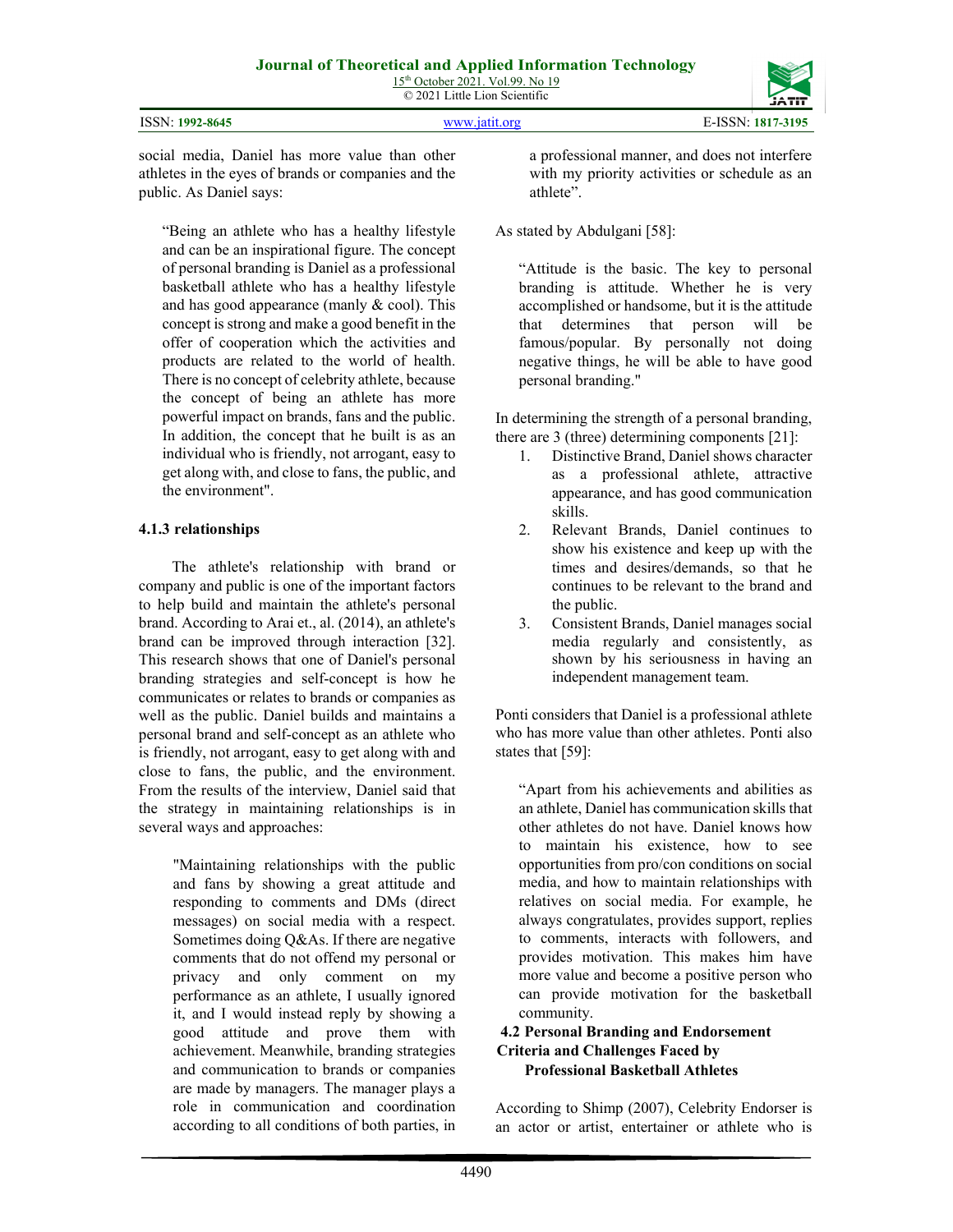| ISSN: 1992-8645 | www.jatit.org | E-ISSN: 1817-3195 |
|-----------------|---------------|-------------------|

social media, Daniel has more value than other athletes in the eyes of brands or companies and the public. As Daniel says:

"Being an athlete who has a healthy lifestyle and can be an inspirational figure. The concept of personal branding is Daniel as a professional basketball athlete who has a healthy lifestyle and has good appearance (manly & cool). This concept is strong and make a good benefit in the offer of cooperation which the activities and products are related to the world of health. There is no concept of celebrity athlete, because the concept of being an athlete has more powerful impact on brands, fans and the public. In addition, the concept that he built is as an individual who is friendly, not arrogant, easy to get along with, and close to fans, the public, and the environment".

## **4.1.3 relationships**

The athlete's relationship with brand or company and public is one of the important factors to help build and maintain the athlete's personal brand. According to Arai et., al. (2014), an athlete's brand can be improved through interaction [32]. This research shows that one of Daniel's personal branding strategies and self-concept is how he communicates or relates to brands or companies as well as the public. Daniel builds and maintains a personal brand and self-concept as an athlete who is friendly, not arrogant, easy to get along with and close to fans, the public, and the environment. From the results of the interview, Daniel said that the strategy in maintaining relationships is in several ways and approaches:

> "Maintaining relationships with the public and fans by showing a great attitude and responding to comments and DMs (direct messages) on social media with a respect. Sometimes doing Q&As. If there are negative comments that do not offend my personal or privacy and only comment on my performance as an athlete, I usually ignored it, and I would instead reply by showing a good attitude and prove them with achievement. Meanwhile, branding strategies and communication to brands or companies are made by managers. The manager plays a role in communication and coordination according to all conditions of both parties, in

a professional manner, and does not interfere with my priority activities or schedule as an athlete".

## As stated by Abdulgani [58]:

"Attitude is the basic. The key to personal branding is attitude. Whether he is very accomplished or handsome, but it is the attitude that determines that person will be famous/popular. By personally not doing negative things, he will be able to have good personal branding."

In determining the strength of a personal branding, there are 3 (three) determining components [21]:

- 1. Distinctive Brand, Daniel shows character as a professional athlete, attractive appearance, and has good communication skills.
- 2. Relevant Brands, Daniel continues to show his existence and keep up with the times and desires/demands, so that he continues to be relevant to the brand and the public.
- 3. Consistent Brands, Daniel manages social media regularly and consistently, as shown by his seriousness in having an independent management team.

Ponti considers that Daniel is a professional athlete who has more value than other athletes. Ponti also states that [59]:

"Apart from his achievements and abilities as an athlete, Daniel has communication skills that other athletes do not have. Daniel knows how to maintain his existence, how to see opportunities from pro/con conditions on social media, and how to maintain relationships with relatives on social media. For example, he always congratulates, provides support, replies to comments, interacts with followers, and provides motivation. This makes him have more value and become a positive person who can provide motivation for the basketball community.

## **4.2 Personal Branding and Endorsement Criteria and Challenges Faced by Professional Basketball Athletes**

According to Shimp (2007), Celebrity Endorser is an actor or artist, entertainer or athlete who is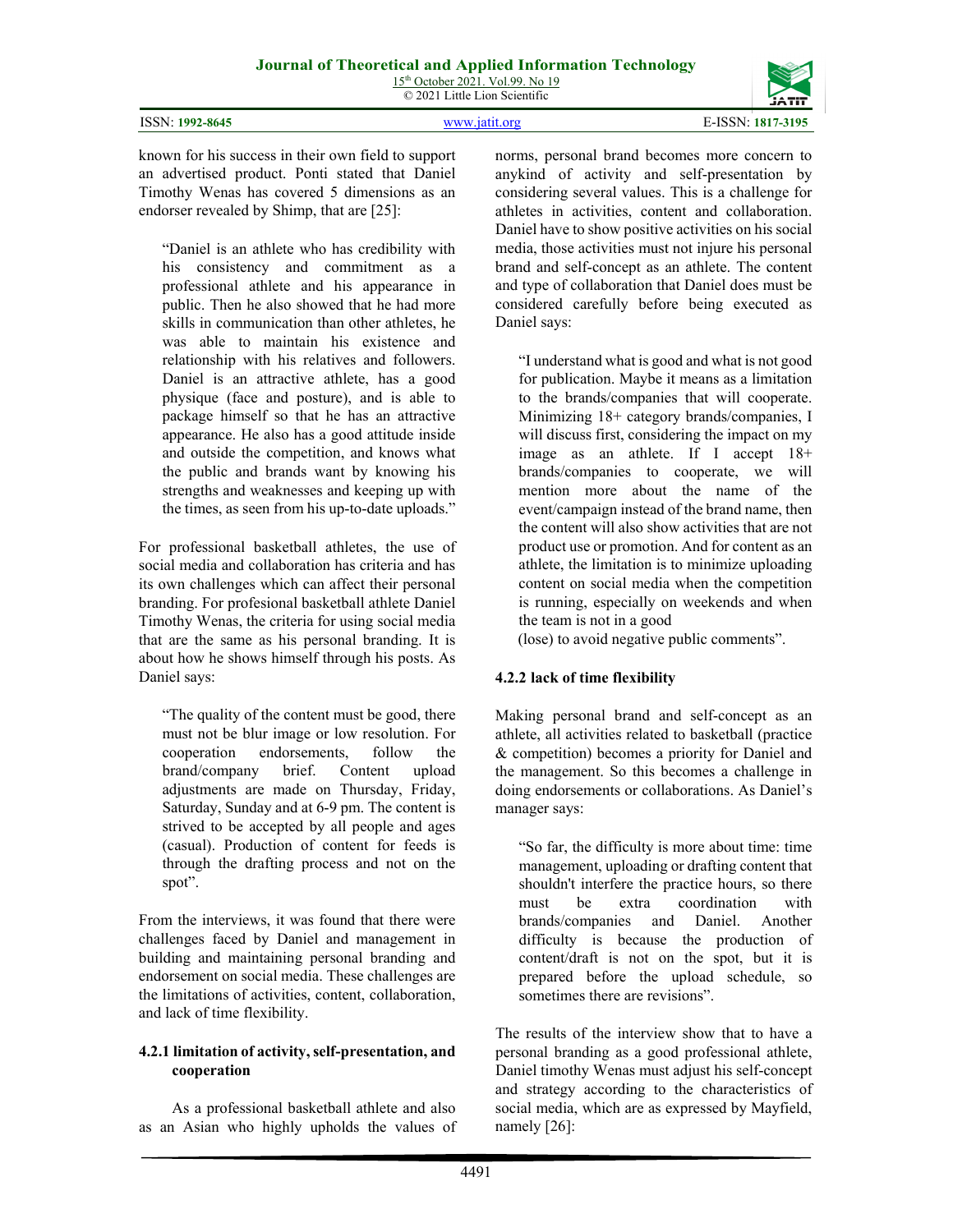

4491

norms, personal brand becomes more concern to anykind of activity and self-presentation by considering several values. This is a challenge for athletes in activities, content and collaboration. Daniel have to show positive activities on his social media, those activities must not injure his personal brand and self-concept as an athlete. The content and type of collaboration that Daniel does must be considered carefully before being executed as Daniel says:

"I understand what is good and what is not good for publication. Maybe it means as a limitation to the brands/companies that will cooperate. Minimizing 18+ category brands/companies, I will discuss first, considering the impact on my image as an athlete. If I accept 18+ brands/companies to cooperate, we will mention more about the name of the event/campaign instead of the brand name, then the content will also show activities that are not product use or promotion. And for content as an athlete, the limitation is to minimize uploading content on social media when the competition is running, especially on weekends and when the team is not in a good

(lose) to avoid negative public comments".

## **4.2.2 lack of time flexibility**

Making personal brand and self-concept as an athlete, all activities related to basketball (practice & competition) becomes a priority for Daniel and the management. So this becomes a challenge in doing endorsements or collaborations. As Daniel's manager says:

"So far, the difficulty is more about time: time management, uploading or drafting content that shouldn't interfere the practice hours, so there must be extra coordination with brands/companies and Daniel. Another difficulty is because the production of content/draft is not on the spot, but it is prepared before the upload schedule, so sometimes there are revisions".

The results of the interview show that to have a personal branding as a good professional athlete, Daniel timothy Wenas must adjust his self-concept and strategy according to the characteristics of social media, which are as expressed by Mayfield, namely [26]:

known for his success in their own field to support an advertised product. Ponti stated that Daniel Timothy Wenas has covered 5 dimensions as an endorser revealed by Shimp, that are [25]:

"Daniel is an athlete who has credibility with his consistency and commitment as a professional athlete and his appearance in public. Then he also showed that he had more skills in communication than other athletes, he was able to maintain his existence and relationship with his relatives and followers. Daniel is an attractive athlete, has a good physique (face and posture), and is able to package himself so that he has an attractive appearance. He also has a good attitude inside and outside the competition, and knows what the public and brands want by knowing his strengths and weaknesses and keeping up with the times, as seen from his up-to-date uploads."

For professional basketball athletes, the use of social media and collaboration has criteria and has its own challenges which can affect their personal branding. For profesional basketball athlete Daniel Timothy Wenas, the criteria for using social media that are the same as his personal branding. It is about how he shows himself through his posts. As Daniel says:

"The quality of the content must be good, there must not be blur image or low resolution. For cooperation endorsements, follow the brand/company brief. Content upload adjustments are made on Thursday, Friday, Saturday, Sunday and at 6-9 pm. The content is strived to be accepted by all people and ages (casual). Production of content for feeds is through the drafting process and not on the spot".

From the interviews, it was found that there were challenges faced by Daniel and management in building and maintaining personal branding and endorsement on social media. These challenges are the limitations of activities, content, collaboration, and lack of time flexibility.

### **4.2.1 limitation of activity, self-presentation, and cooperation**

As a professional basketball athlete and also as an Asian who highly upholds the values of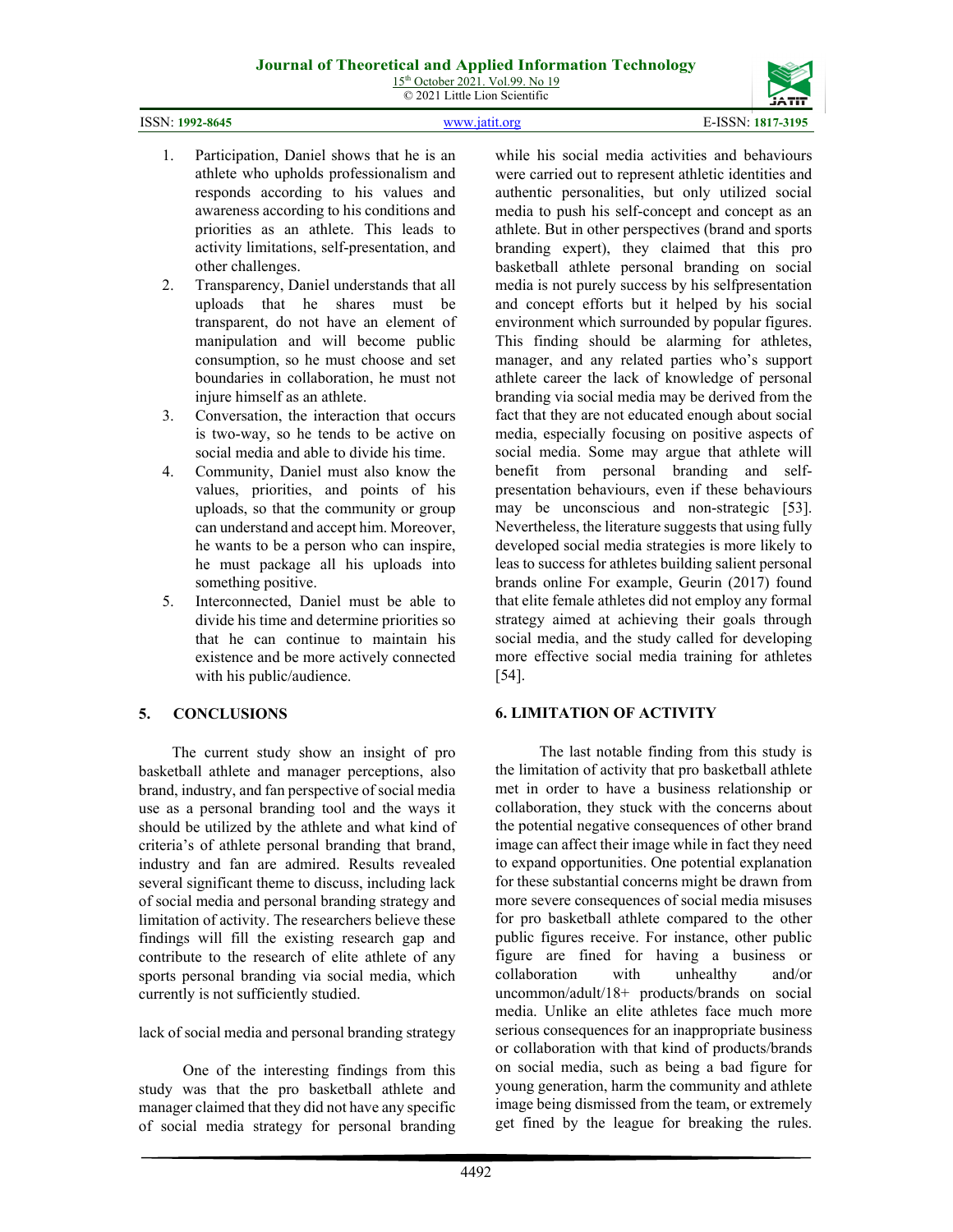15<sup>th</sup> October 2021. Vol.99. No 19 © 2021 Little Lion Scientific



- 1. Participation, Daniel shows that he is an athlete who upholds professionalism and responds according to his values and awareness according to his conditions and priorities as an athlete. This leads to activity limitations, self-presentation, and other challenges.
- 2. Transparency, Daniel understands that all uploads that he shares must be transparent, do not have an element of manipulation and will become public consumption, so he must choose and set boundaries in collaboration, he must not injure himself as an athlete.
- 3. Conversation, the interaction that occurs is two-way, so he tends to be active on social media and able to divide his time.
- 4. Community, Daniel must also know the values, priorities, and points of his uploads, so that the community or group can understand and accept him. Moreover, he wants to be a person who can inspire, he must package all his uploads into something positive.
- 5. Interconnected, Daniel must be able to divide his time and determine priorities so that he can continue to maintain his existence and be more actively connected with his public/audience.

## **5. CONCLUSIONS**

The current study show an insight of pro basketball athlete and manager perceptions, also brand, industry, and fan perspective of social media use as a personal branding tool and the ways it should be utilized by the athlete and what kind of criteria's of athlete personal branding that brand, industry and fan are admired. Results revealed several significant theme to discuss, including lack of social media and personal branding strategy and limitation of activity. The researchers believe these findings will fill the existing research gap and contribute to the research of elite athlete of any sports personal branding via social media, which currently is not sufficiently studied.

lack of social media and personal branding strategy

One of the interesting findings from this study was that the pro basketball athlete and manager claimed that they did not have any specific of social media strategy for personal branding while his social media activities and behaviours were carried out to represent athletic identities and authentic personalities, but only utilized social media to push his self-concept and concept as an athlete. But in other perspectives (brand and sports branding expert), they claimed that this pro basketball athlete personal branding on social media is not purely success by his selfpresentation and concept efforts but it helped by his social environment which surrounded by popular figures. This finding should be alarming for athletes, manager, and any related parties who's support athlete career the lack of knowledge of personal branding via social media may be derived from the fact that they are not educated enough about social media, especially focusing on positive aspects of social media. Some may argue that athlete will benefit from personal branding and selfpresentation behaviours, even if these behaviours may be unconscious and non-strategic [53]. Nevertheless, the literature suggests that using fully developed social media strategies is more likely to leas to success for athletes building salient personal brands online For example, Geurin (2017) found that elite female athletes did not employ any formal strategy aimed at achieving their goals through social media, and the study called for developing more effective social media training for athletes [54].

## **6. LIMITATION OF ACTIVITY**

The last notable finding from this study is the limitation of activity that pro basketball athlete met in order to have a business relationship or collaboration, they stuck with the concerns about the potential negative consequences of other brand image can affect their image while in fact they need to expand opportunities. One potential explanation for these substantial concerns might be drawn from more severe consequences of social media misuses for pro basketball athlete compared to the other public figures receive. For instance, other public figure are fined for having a business or collaboration with unhealthy and/or uncommon/adult/18+ products/brands on social media. Unlike an elite athletes face much more serious consequences for an inappropriate business or collaboration with that kind of products/brands on social media, such as being a bad figure for young generation, harm the community and athlete image being dismissed from the team, or extremely get fined by the league for breaking the rules.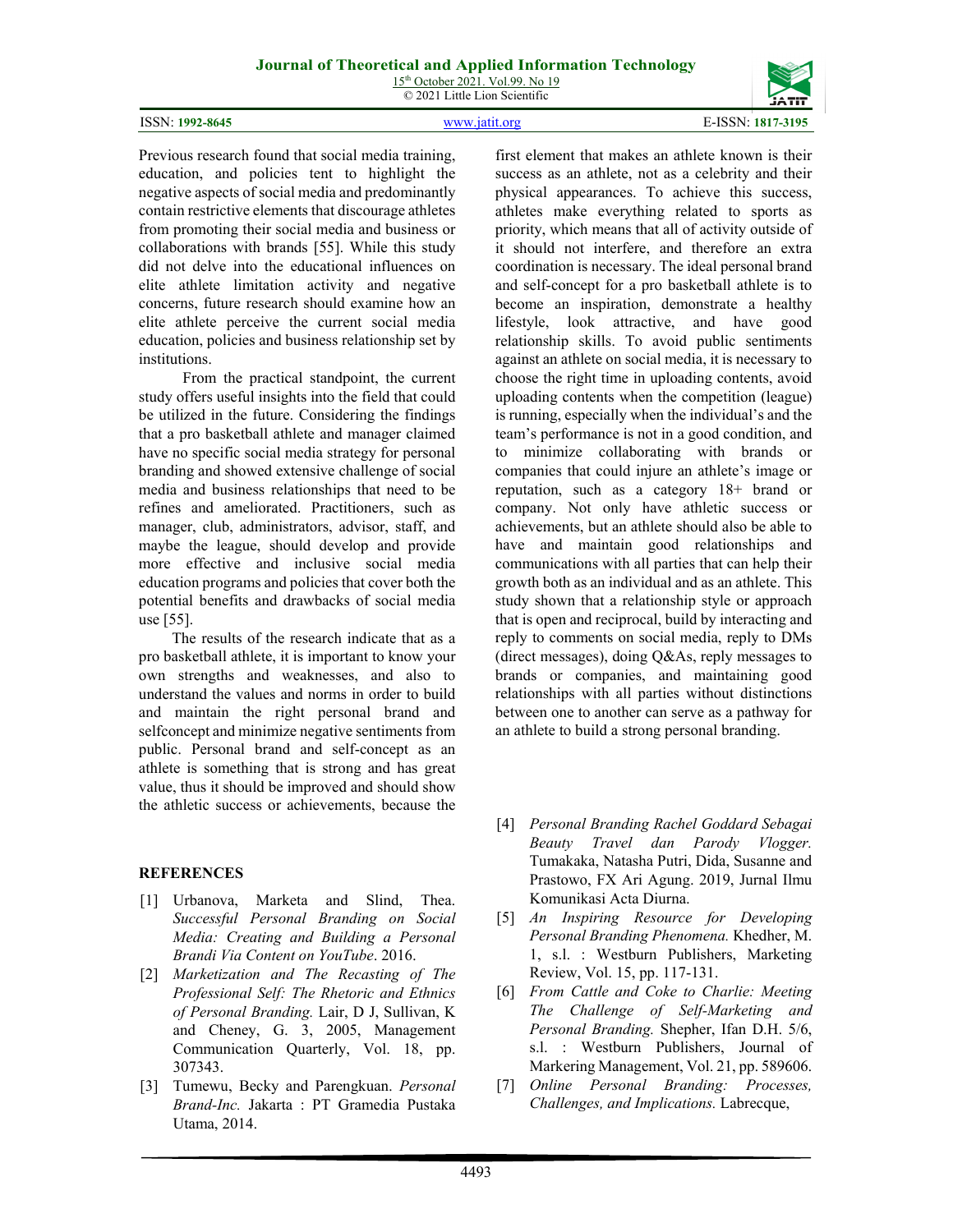#### ISSN: **1992-8645** [www.jatit.org](http://www.jatit.org/) E-ISSN: **1817-3195**



Previous research found that social media training, education, and policies tent to highlight the negative aspects of social media and predominantly contain restrictive elements that discourage athletes from promoting their social media and business or collaborations with brands [55]. While this study did not delve into the educational influences on elite athlete limitation activity and negative concerns, future research should examine how an elite athlete perceive the current social media education, policies and business relationship set by institutions.

From the practical standpoint, the current study offers useful insights into the field that could be utilized in the future. Considering the findings that a pro basketball athlete and manager claimed have no specific social media strategy for personal branding and showed extensive challenge of social media and business relationships that need to be refines and ameliorated. Practitioners, such as manager, club, administrators, advisor, staff, and maybe the league, should develop and provide more effective and inclusive social media education programs and policies that cover both the potential benefits and drawbacks of social media use [55].

The results of the research indicate that as a pro basketball athlete, it is important to know your own strengths and weaknesses, and also to understand the values and norms in order to build and maintain the right personal brand and selfconcept and minimize negative sentiments from public. Personal brand and self-concept as an athlete is something that is strong and has great value, thus it should be improved and should show the athletic success or achievements, because the

#### **REFERENCES**

- [1] Urbanova, Marketa and Slind, Thea. *Successful Personal Branding on Social Media: Creating and Building a Personal Brandi Via Content on YouTube*. 2016.
- [2] *Marketization and The Recasting of The Professional Self: The Rhetoric and Ethnics of Personal Branding.* Lair, D J, Sullivan, K and Cheney, G. 3, 2005, Management Communication Quarterly, Vol. 18, pp. 307343.
- [3] Tumewu, Becky and Parengkuan. *Personal Brand-Inc.* Jakarta : PT Gramedia Pustaka Utama, 2014.

first element that makes an athlete known is their success as an athlete, not as a celebrity and their physical appearances. To achieve this success, athletes make everything related to sports as priority, which means that all of activity outside of it should not interfere, and therefore an extra coordination is necessary. The ideal personal brand and self-concept for a pro basketball athlete is to become an inspiration, demonstrate a healthy lifestyle, look attractive, and have good relationship skills. To avoid public sentiments against an athlete on social media, it is necessary to choose the right time in uploading contents, avoid uploading contents when the competition (league) is running, especially when the individual's and the team's performance is not in a good condition, and to minimize collaborating with brands or companies that could injure an athlete's image or reputation, such as a category 18+ brand or company. Not only have athletic success or achievements, but an athlete should also be able to have and maintain good relationships and communications with all parties that can help their growth both as an individual and as an athlete. This study shown that a relationship style or approach that is open and reciprocal, build by interacting and reply to comments on social media, reply to DMs (direct messages), doing Q&As, reply messages to brands or companies, and maintaining good relationships with all parties without distinctions between one to another can serve as a pathway for an athlete to build a strong personal branding.

- [4] *Personal Branding Rachel Goddard Sebagai Beauty Travel dan Parody Vlogger.*  Tumakaka, Natasha Putri, Dida, Susanne and Prastowo, FX Ari Agung. 2019, Jurnal Ilmu Komunikasi Acta Diurna.
- [5] *An Inspiring Resource for Developing Personal Branding Phenomena.* Khedher, M. 1, s.l. : Westburn Publishers, Marketing Review, Vol. 15, pp. 117-131.
- [6] *From Cattle and Coke to Charlie: Meeting The Challenge of Self-Marketing and Personal Branding.* Shepher, Ifan D.H. 5/6, s.l. : Westburn Publishers, Journal of Markering Management, Vol. 21, pp. 589606.
- [7] *Online Personal Branding: Processes, Challenges, and Implications.* Labrecque,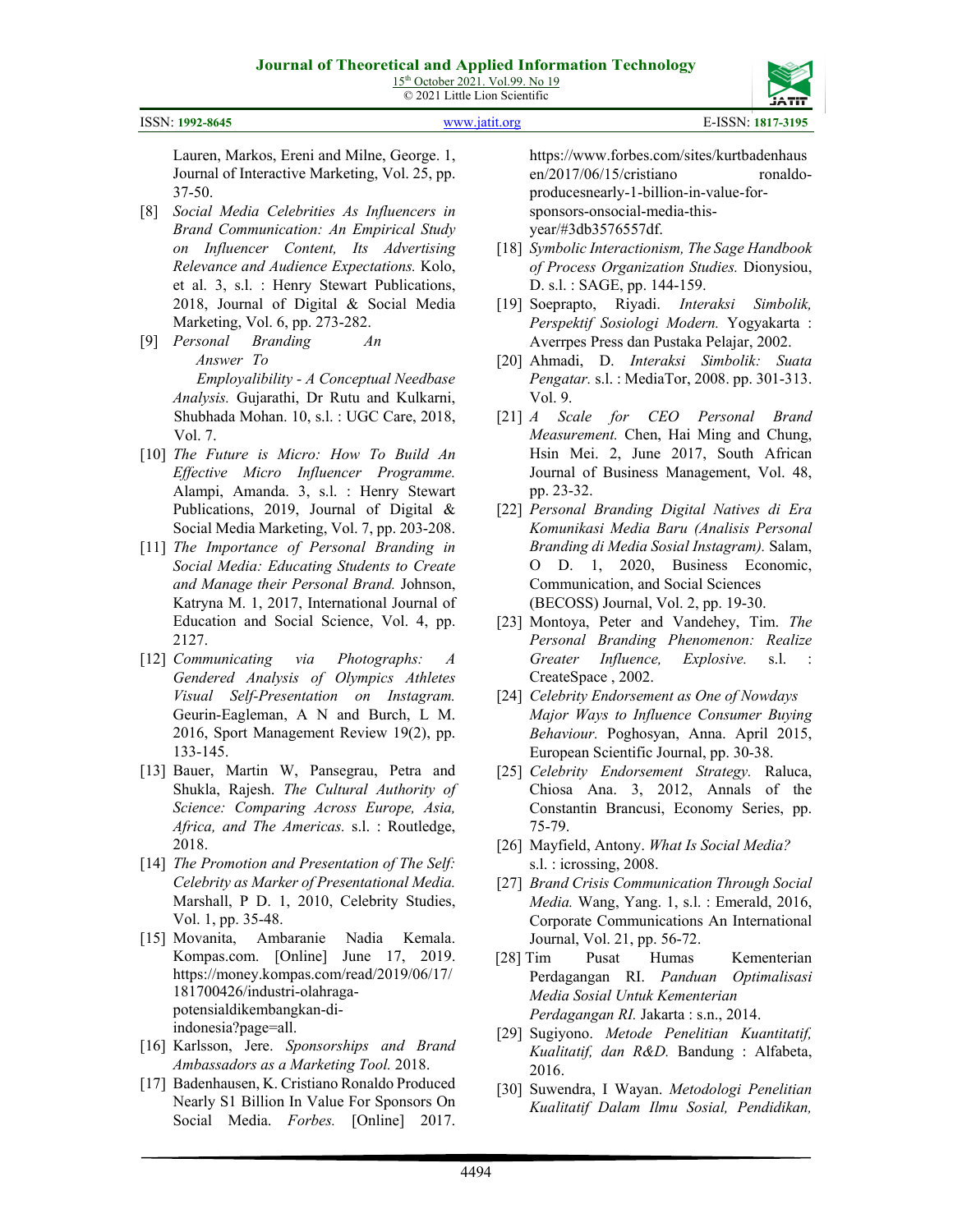

ISSN: **1992-8645** [www.jatit.org](http://www.jatit.org/) E-ISSN: **1817-3195**

Lauren, Markos, Ereni and Milne, George. 1, Journal of Interactive Marketing, Vol. 25, pp. 37-50.

- [8] *Social Media Celebrities As Influencers in Brand Communication: An Empirical Study on Influencer Content, Its Advertising Relevance and Audience Expectations.* Kolo, et al. 3, s.l. : Henry Stewart Publications, 2018, Journal of Digital & Social Media Marketing, Vol. 6, pp. 273-282.
- [9] *Personal Branding An Answer To Employalibility - A Conceptual Needbase Analysis.* Gujarathi, Dr Rutu and Kulkarni, Shubhada Mohan. 10, s.l. : UGC Care, 2018, Vol. 7.
- [10] *The Future is Micro: How To Build An Effective Micro Influencer Programme.*  Alampi, Amanda. 3, s.l. : Henry Stewart Publications, 2019, Journal of Digital & Social Media Marketing, Vol. 7, pp. 203-208.
- [11] *The Importance of Personal Branding in Social Media: Educating Students to Create and Manage their Personal Brand.* Johnson, Katryna M. 1, 2017, International Journal of Education and Social Science, Vol. 4, pp. 2127.
- [12] *Communicating via Photographs: A Gendered Analysis of Olympics Athletes Visual Self-Presentation on Instagram.*  Geurin-Eagleman, A N and Burch, L M. 2016, Sport Management Review 19(2), pp. 133-145.
- [13] Bauer, Martin W, Pansegrau, Petra and Shukla, Rajesh. *The Cultural Authority of Science: Comparing Across Europe, Asia, Africa, and The Americas.* s.l. : Routledge, 2018.
- [14] *The Promotion and Presentation of The Self: Celebrity as Marker of Presentational Media.*  Marshall, P D. 1, 2010, Celebrity Studies, Vol. 1, pp. 35-48.
- [15] Movanita, Ambaranie Nadia Kemala. Kompas.com. [Online] June 17, 2019. [https://money.kompas.com/read/2019/06/17/](https://money.kompas.com/read/2019/06/17/181700426/industri-olahraga-potensial-dikembangkan-di-indonesia?page=all)  [181700426/industri-olahraga](https://money.kompas.com/read/2019/06/17/181700426/industri-olahraga-potensial-dikembangkan-di-indonesia?page=all)[potensialdikembangkan-di](https://money.kompas.com/read/2019/06/17/181700426/industri-olahraga-potensial-dikembangkan-di-indonesia?page=all)[indonesia?page=all.](https://money.kompas.com/read/2019/06/17/181700426/industri-olahraga-potensial-dikembangkan-di-indonesia?page=all)
- [16] Karlsson, Jere. *Sponsorships and Brand Ambassadors as a Marketing Tool.* 2018.
- [17] Badenhausen, K. Cristiano Ronaldo Produced Nearly S1 Billion In Value For Sponsors On Social Media. *Forbes.* [Online] 2017.

https://www.forbes.com/sites/kurtbadenhaus en/2017/06/15/cristiano ronaldoproducesnearly-1-billion-in-value-forsponsors-onsocial-media-thisyear/#3db3576557df.

- [18] *Symbolic Interactionism, The Sage Handbook of Process Organization Studies.* Dionysiou, D. s.l. : SAGE, pp. 144-159.
- [19] Soeprapto, Riyadi. *Interaksi Simbolik, Perspektif Sosiologi Modern.* Yogyakarta : Averrpes Press dan Pustaka Pelajar, 2002.
- [20] Ahmadi, D. *Interaksi Simbolik: Suata Pengatar.* s.l. : MediaTor, 2008. pp. 301-313. Vol. 9.
- [21] *A Scale for CEO Personal Brand Measurement.* Chen, Hai Ming and Chung, Hsin Mei. 2, June 2017, South African Journal of Business Management, Vol. 48, pp. 23-32.
- [22] *Personal Branding Digital Natives di Era Komunikasi Media Baru (Analisis Personal Branding di Media Sosial Instagram).* Salam, O D. 1, 2020, Business Economic, Communication, and Social Sciences (BECOSS) Journal, Vol. 2, pp. 19-30.
- [23] Montoya, Peter and Vandehey, Tim. *The Personal Branding Phenomenon: Realize Greater Influence, Explosive.* s.l. : CreateSpace , 2002.
- [24] *Celebrity Endorsement as One of Nowdays Major Ways to Influence Consumer Buying Behaviour.* Poghosyan, Anna. April 2015, European Scientific Journal, pp. 30-38.
- [25] *Celebrity Endorsement Strategy.* Raluca, Chiosa Ana. 3, 2012, Annals of the Constantin Brancusi, Economy Series, pp. 75-79.
- [26] Mayfield, Antony. *What Is Social Media?*  s.l. : icrossing, 2008.
- [27] *Brand Crisis Communication Through Social Media.* Wang, Yang. 1, s.l. : Emerald, 2016, Corporate Communications An International Journal, Vol. 21, pp. 56-72.
- [28] Tim Pusat Humas Kementerian Perdagangan RI. *Panduan Optimalisasi Media Sosial Untuk Kementerian Perdagangan RI.* Jakarta : s.n., 2014.
- [29] Sugiyono. *Metode Penelitian Kuantitatif, Kualitatif, dan R&D.* Bandung : Alfabeta, 2016.
- [30] Suwendra, I Wayan. *Metodologi Penelitian Kualitatif Dalam Ilmu Sosial, Pendidikan,*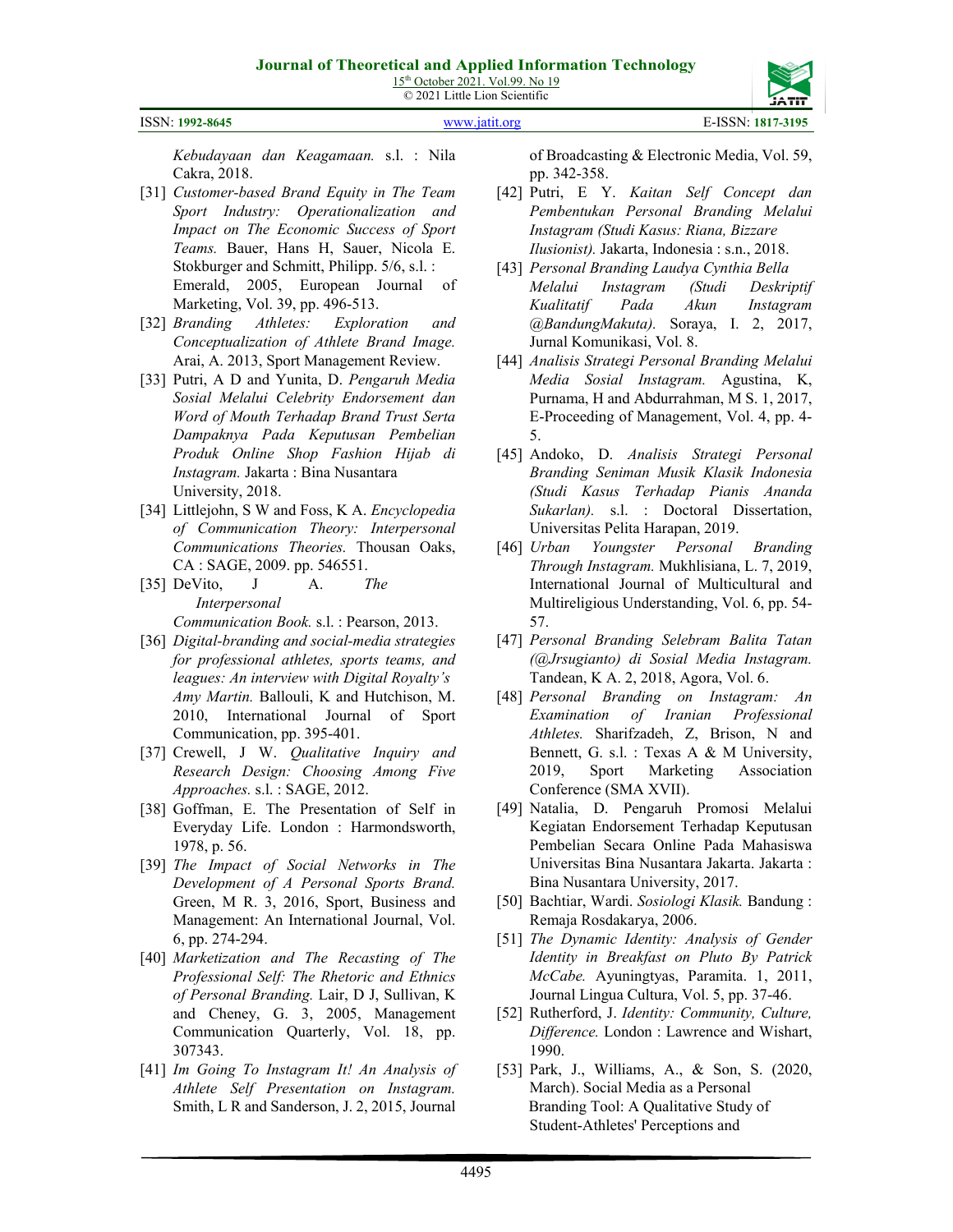ISSN: **1992-8645** [www.jatit.org](http://www.jatit.org/) E-ISSN: **1817-3195**

*Kebudayaan dan Keagamaan.* s.l. : Nila Cakra, 2018.

- [31] *Customer-based Brand Equity in The Team Sport Industry: Operationalization and Impact on The Economic Success of Sport Teams.* Bauer, Hans H, Sauer, Nicola E. Stokburger and Schmitt, Philipp. 5/6, s.l. : Emerald, 2005, European Journal of Marketing, Vol. 39, pp. 496-513.
- [32] *Branding Athletes: Exploration and Conceptualization of Athlete Brand Image.*  Arai, A. 2013, Sport Management Review.
- [33] Putri, A D and Yunita, D. *Pengaruh Media Sosial Melalui Celebrity Endorsement dan Word of Mouth Terhadap Brand Trust Serta Dampaknya Pada Keputusan Pembelian Produk Online Shop Fashion Hijab di Instagram.* Jakarta : Bina Nusantara University, 2018.
- [34] Littlejohn, S W and Foss, K A. *Encyclopedia of Communication Theory: Interpersonal Communications Theories.* Thousan Oaks, CA : SAGE, 2009. pp. 546551.
- [35] DeVito, J A. *The Interpersonal Communication Book.* s.l. : Pearson, 2013.
- [36] *Digital-branding and social-media strategies for professional athletes, sports teams, and leagues: An interview with Digital Royalty's Amy Martin.* Ballouli, K and Hutchison, M. 2010, International Journal of Sport Communication, pp. 395-401.
- [37] Crewell, J W. *Qualitative Inquiry and Research Design: Choosing Among Five Approaches.* s.l. : SAGE, 2012.
- [38] Goffman, E. The Presentation of Self in Everyday Life. London : Harmondsworth, 1978, p. 56.
- [39] *The Impact of Social Networks in The Development of A Personal Sports Brand.*  Green, M R. 3, 2016, Sport, Business and Management: An International Journal, Vol. 6, pp. 274-294.
- [40] *Marketization and The Recasting of The Professional Self: The Rhetoric and Ethnics of Personal Branding.* Lair, D J, Sullivan, K and Cheney, G. 3, 2005, Management Communication Quarterly, Vol. 18, pp. 307343.
- [41] *Im Going To Instagram It! An Analysis of Athlete Self Presentation on Instagram.*  Smith, L R and Sanderson, J. 2, 2015, Journal

of Broadcasting & Electronic Media, Vol. 59, pp. 342-358.

- [42] Putri, E Y. *Kaitan Self Concept dan Pembentukan Personal Branding Melalui Instagram (Studi Kasus: Riana, Bizzare Ilusionist).* Jakarta, Indonesia : s.n., 2018.
- [43] *Personal Branding Laudya Cynthia Bella Melalui Instagram (Studi Deskriptif Kualitatif Pada Akun Instagram @BandungMakuta).* Soraya, I. 2, 2017, Jurnal Komunikasi, Vol. 8.
- [44] *Analisis Strategi Personal Branding Melalui Media Sosial Instagram.* Agustina, K, Purnama, H and Abdurrahman, M S. 1, 2017, E-Proceeding of Management, Vol. 4, pp. 4- 5.
- [45] Andoko, D. *Analisis Strategi Personal Branding Seniman Musik Klasik Indonesia (Studi Kasus Terhadap Pianis Ananda Sukarlan).* s.l. : Doctoral Dissertation, Universitas Pelita Harapan, 2019.
- [46] *Urban Youngster Personal Branding Through Instagram.* Mukhlisiana, L. 7, 2019, International Journal of Multicultural and Multireligious Understanding, Vol. 6, pp. 54- 57.
- [47] *Personal Branding Selebram Balita Tatan (@Jrsugianto) di Sosial Media Instagram.*  Tandean, K A. 2, 2018, Agora, Vol. 6.
- [48] *Personal Branding on Instagram: An Examination of Iranian Professional Athletes.* Sharifzadeh, Z, Brison, N and Bennett, G. s.l. : Texas A & M University, 2019, Sport Marketing Association Conference (SMA XVII).
- [49] Natalia, D. Pengaruh Promosi Melalui Kegiatan Endorsement Terhadap Keputusan Pembelian Secara Online Pada Mahasiswa Universitas Bina Nusantara Jakarta. Jakarta : Bina Nusantara University, 2017.
- [50] Bachtiar, Wardi. *Sosiologi Klasik.* Bandung : Remaja Rosdakarya, 2006.
- [51] *The Dynamic Identity: Analysis of Gender Identity in Breakfast on Pluto By Patrick McCabe.* Ayuningtyas, Paramita. 1, 2011, Journal Lingua Cultura, Vol. 5, pp. 37-46.
- [52] Rutherford, J. *Identity: Community, Culture, Difference.* London : Lawrence and Wishart, 1990.
- [53] Park, J., Williams, A., & Son, S. (2020, March). Social Media as a Personal Branding Tool: A Qualitative Study of Student-Athletes' Perceptions and